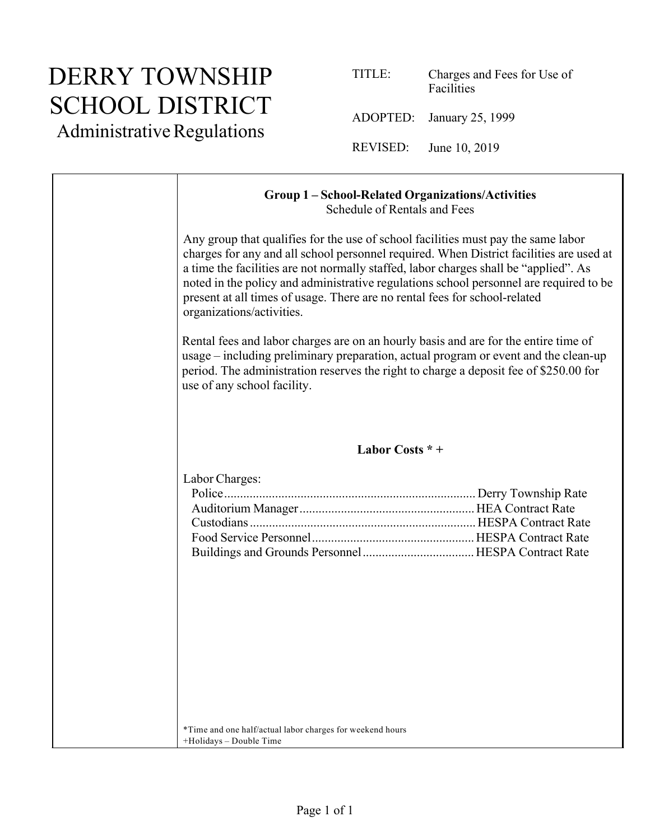### DERRY TOWNSHIP SCHOOL DISTRICT

Administrative Regulations

| TITLE:   | Charges and Fees for Use of<br>Facilities |
|----------|-------------------------------------------|
|          | ADOPTED: January 25, 1999                 |
| REVISED: | June 10, 2019                             |

#### **Group 1 – School-Related Organizations/Activities** Schedule of Rentals and Fees Any group that qualifies for the use of school facilities must pay the same labor charges for any and all school personnel required. When District facilities are used at a time the facilities are not normally staffed, labor charges shall be "applied". As noted in the policy and administrative regulations school personnel are required to be present at all times of usage. There are no rental fees for school-related organizations/activities. Rental fees and labor charges are on an hourly basis and are for the entire time of usage – including preliminary preparation, actual program or event and the clean-up period. The administration reserves the right to charge a deposit fee of \$250.00 for use of any school facility. **Labor Costs \* +** Labor Charges: Police............................................................................... Derry Township Rate Auditorium Manager.......................................................HEA Contract Rate Custodians....................................................................... HESPA Contract Rate Food Service Personnel...................................................HESPA Contract Rate Buildings and Grounds Personnel...................................HESPA Contract Rate \*Time and one half/actual labor charges for weekend hours +Holidays – Double Time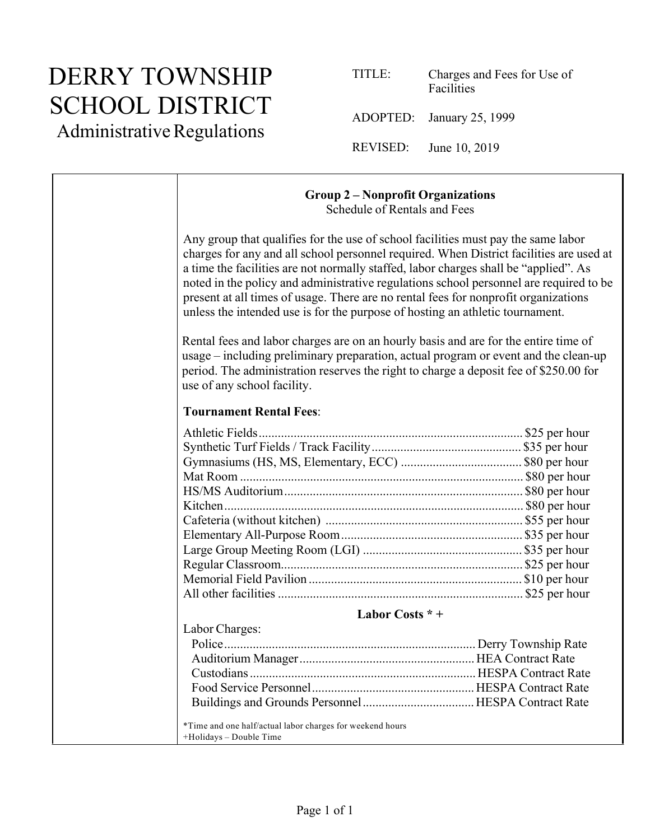# DERRY TOWNSHIP SCHOOL DISTRICT

Administrative Regulations

| TITLE:   | Charges and Fees for Use of<br>Facilities |  |
|----------|-------------------------------------------|--|
|          | ADOPTED: January 25, 1999                 |  |
| REVISED: | June 10, 2019                             |  |

#### **Group 2 – Nonprofit Organizations** Schedule of Rentals and Fees Any group that qualifies for the use of school facilities must pay the same labor charges for any and all school personnel required. When District facilities are used at a time the facilities are not normally staffed, labor charges shall be "applied". As noted in the policy and administrative regulations school personnel are required to be present at all times of usage. There are no rental fees for nonprofit organizations unless the intended use is for the purpose of hosting an athletic tournament. Rental fees and labor charges are on an hourly basis and are for the entire time of usage – including preliminary preparation, actual program or event and the clean-up period. The administration reserves the right to charge a deposit fee of \$250.00 for use of any school facility. **Tournament Rental Fees**: Athletic Fields................................................................................... \$25 per hour Synthetic Turf Fields / Track Facility............................................... \$35 per hour Gymnasiums (HS, MS, Elementary, ECC) ...................................... \$80 per hour Mat Room ......................................................................................... \$80 per hour HS/MS Auditorium........................................................................... \$80 per hour Kitchen.............................................................................................. \$80 per hour Cafeteria (without kitchen) .............................................................. \$55 per hour Elementary All-Purpose Room......................................................... \$35 per hour Large Group Meeting Room (LGI) .................................................. \$35 per hour Regular Classroom............................................................................ \$25 per hour Memorial Field Pavilion ................................................................... \$10 per hour All other facilities ............................................................................. \$25 per hour **Labor Costs \* +** Labor Charges: Police............................................................................... Derry Township Rate Auditorium Manager.......................................................HEA Contract Rate Custodians....................................................................... HESPA Contract Rate Food Service Personnel...................................................HESPA Contract Rate Buildings and Grounds Personnel...................................HESPA Contract Rate

\*Time and one half/actual labor charges for weekend hours +Holidays – Double Time